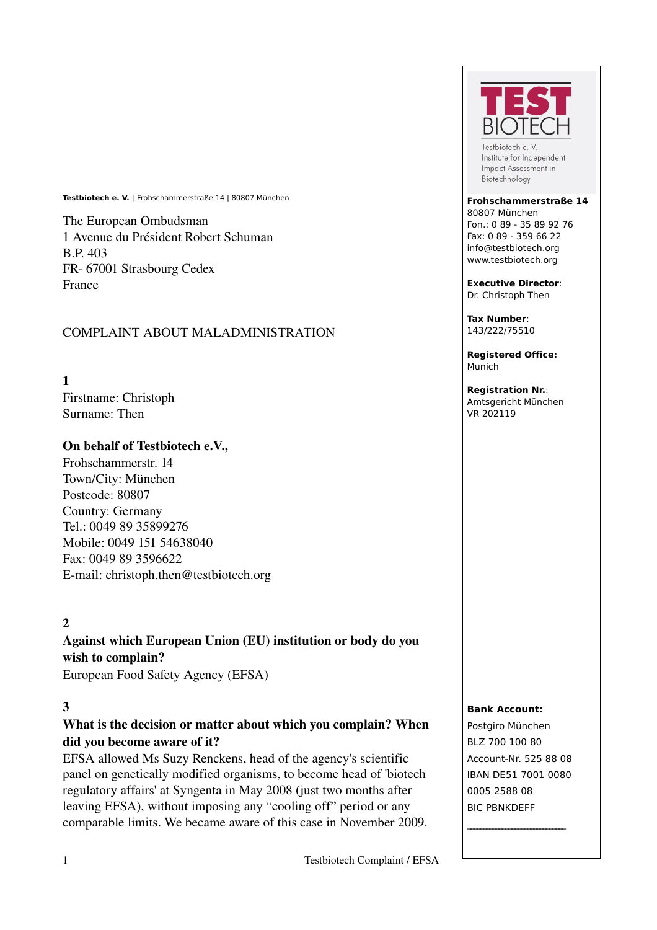**Testbiotech e. V. |** Frohschammerstraße 14 | 80807 München

The European Ombudsman 1 Avenue du Président Robert Schuman B.P. 403 FR- 67001 Strasbourg Cedex France

## COMPLAINT ABOUT MALADMINISTRATION

1

Firstname: Christoph Surname: Then

### On behalf of Testbiotech e.V.,

Frohschammerstr. 14 Town/City: München Postcode: 80807 Country: Germany Tel.: 0049 89 35899276 Mobile: 0049 151 54638040 Fax: 0049 89 3596622 Email: christoph.then@testbiotech.org

# 2

Against which European Union (EU) institution or body do you wish to complain? European Food Safety Agency (EFSA)

### 3

# What is the decision or matter about which you complain? When did you become aware of it?

EFSA allowed Ms Suzy Renckens, head of the agency's scientific panel on genetically modified organisms, to become head of 'biotech regulatory affairs' at Syngenta in May 2008 (just two months after leaving EFSA), without imposing any "cooling off" period or any comparable limits. We became aware of this case in November 2009.



Testbiotech e V Institute for Independent Impact Assessment in Biotechnology

#### **Frohschammerstraße 14**

80807 München Fon.: 0 89 - 35 89 92 76 Fax: 0 89 - 359 66 22 info@testbiotech.org www.testbiotech.org

**Executive Director**: Dr. Christoph Then

**Tax Number**: 143/222/75510

**Registered Office:** Munich

**Registration Nr.**: Amtsgericht München VR 202119

#### **Bank Account:**

Postgiro München BLZ 700 100 80 Account-Nr. 525 88 08 IBAN DE51 7001 0080 0005 2588 08 BIC PBNKDEFF

 $\mathcal{L}_\text{max}$  , where  $\mathcal{L}_\text{max}$  and  $\mathcal{L}_\text{max}$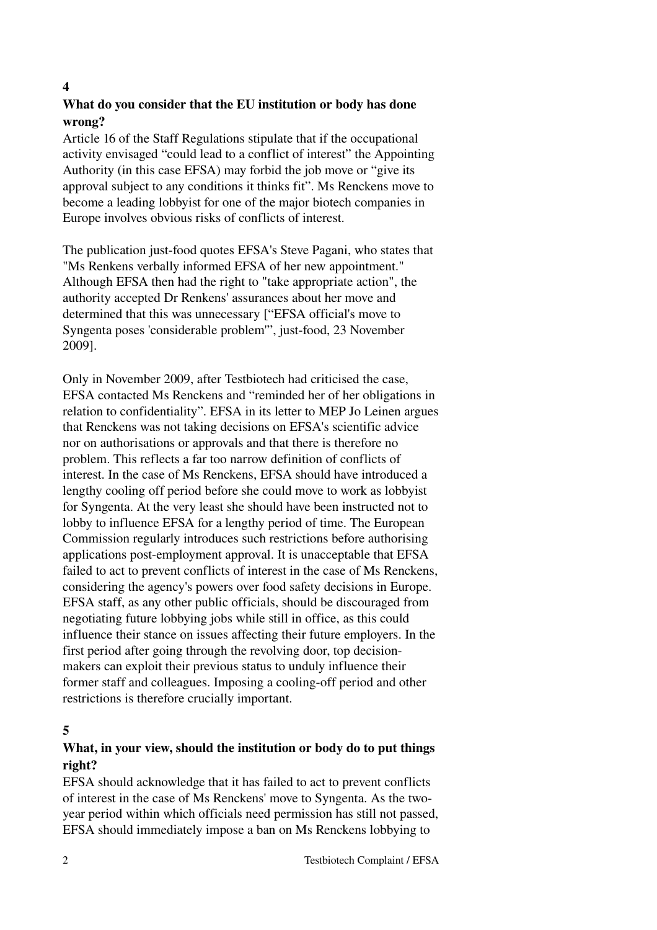#### 4

# What do you consider that the EU institution or body has done wrong?

Article 16 of the Staff Regulations stipulate that if the occupational activity envisaged "could lead to a conflict of interest" the Appointing Authority (in this case EFSA) may forbid the job move or "give its approval subject to any conditions it thinks fit". Ms Renckens move to become a leading lobbyist for one of the major biotech companies in Europe involves obvious risks of conflicts of interest.

The publication just-food quotes EFSA's Steve Pagani, who states that "Ms Renkens verbally informed EFSA of her new appointment." Although EFSA then had the right to "take appropriate action", the authority accepted Dr Renkens' assurances about her move and determined that this was unnecessary ["EFSA official's move to Syngenta poses 'considerable problem'", just-food, 23 November 2009].

Only in November 2009, after Testbiotech had criticised the case, EFSA contacted Ms Renckens and "reminded her of her obligations in relation to confidentiality". EFSA in its letter to MEP Jo Leinen argues that Renckens was not taking decisions on EFSA's scientific advice nor on authorisations or approvals and that there is therefore no problem. This reflects a far too narrow definition of conflicts of interest. In the case of Ms Renckens, EFSA should have introduced a lengthy cooling off period before she could move to work as lobbyist for Syngenta. At the very least she should have been instructed not to lobby to influence EFSA for a lengthy period of time. The European Commission regularly introduces such restrictions before authorising applications post-employment approval. It is unacceptable that EFSA failed to act to prevent conflicts of interest in the case of Ms Renckens, considering the agency's powers over food safety decisions in Europe. EFSA staff, as any other public officials, should be discouraged from negotiating future lobbying jobs while still in office, as this could influence their stance on issues affecting their future employers. In the first period after going through the revolving door, top decisionmakers can exploit their previous status to unduly influence their former staff and colleagues. Imposing a cooling-off period and other restrictions is therefore crucially important.

## 5

## What, in your view, should the institution or body do to put things right?

EFSA should acknowledge that it has failed to act to prevent conflicts of interest in the case of Ms Renckens' move to Syngenta. As the twoyear period within which officials need permission has still not passed, EFSA should immediately impose a ban on Ms Renckens lobbying to